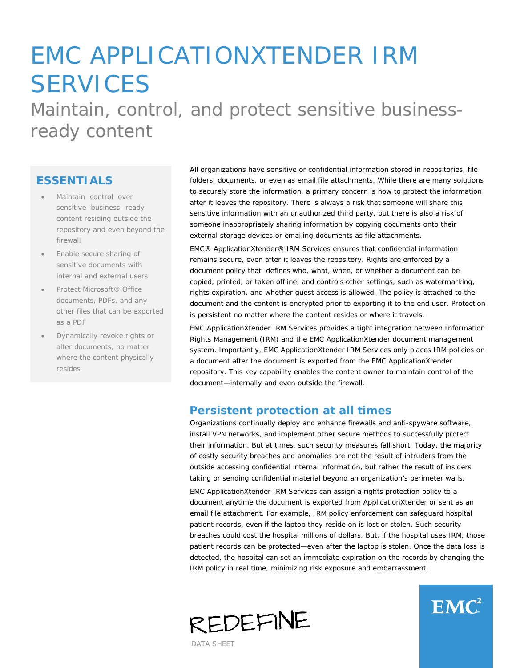# EMC APPLICATIONXTENDER IRM **SERVICES**

Maintain, control, and protect sensitive businessready content

## **ESSENTIALS**

- Maintain control over sensitive business- ready content residing outside the repository and even beyond the firewall
- Enable secure sharing of sensitive documents with internal and external users
- Protect Microsoft® Office documents, PDFs, and any other files that can be exported as a PDF
- Dynamically revoke rights or alter documents, no matter where the content physically resides

All organizations have sensitive or confidential information stored in repositories, file folders, documents, or even as email file attachments. While there are many solutions to securely store the information, a primary concern is how to protect the information after it leaves the repository. There is always a risk that someone will share this sensitive information with an unauthorized third party, but there is also a risk of someone inappropriately sharing information by copying documents onto their external storage devices or emailing documents as file attachments.

EMC® ApplicationXtender® IRM Services ensures that confidential information remains secure, even after it leaves the repository. Rights are enforced by a document policy that defines who, what, when, or whether a document can be copied, printed, or taken offline, and controls other settings, such as watermarking, rights expiration, and whether guest access is allowed. The policy is attached to the document and the content is encrypted prior to exporting it to the end user. Protection is persistent no matter where the content resides or where it travels.

EMC ApplicationXtender IRM Services provides a tight integration between Information Rights Management (IRM) and the EMC ApplicationXtender document management system. Importantly, EMC ApplicationXtender IRM Services only places IRM policies on a document after the document is exported from the EMC ApplicationXtender repository. This key capability enables the content owner to maintain control of the document—internally and even outside the firewall.

#### **Persistent protection at all times**

Organizations continually deploy and enhance firewalls and anti-spyware software, install VPN networks, and implement other secure methods to successfully protect their information. But at times, such security measures fall short. Today, the majority of costly security breaches and anomalies are not the result of intruders from the outside accessing confidential internal information, but rather the result of insiders taking or sending confidential material beyond an organization's perimeter walls.

EMC ApplicationXtender IRM Services can assign a rights protection policy to a document anytime the document is exported from ApplicationXtender or sent as an email file attachment. For example, IRM policy enforcement can safeguard hospital patient records, even if the laptop they reside on is lost or stolen. Such security breaches could cost the hospital millions of dollars. But, if the hospital uses IRM, those patient records can be protected—even after the laptop is stolen. Once the data loss is detected, the hospital can set an immediate expiration on the records by changing the IRM policy in real time, minimizing risk exposure and embarrassment.





DATA SHEET